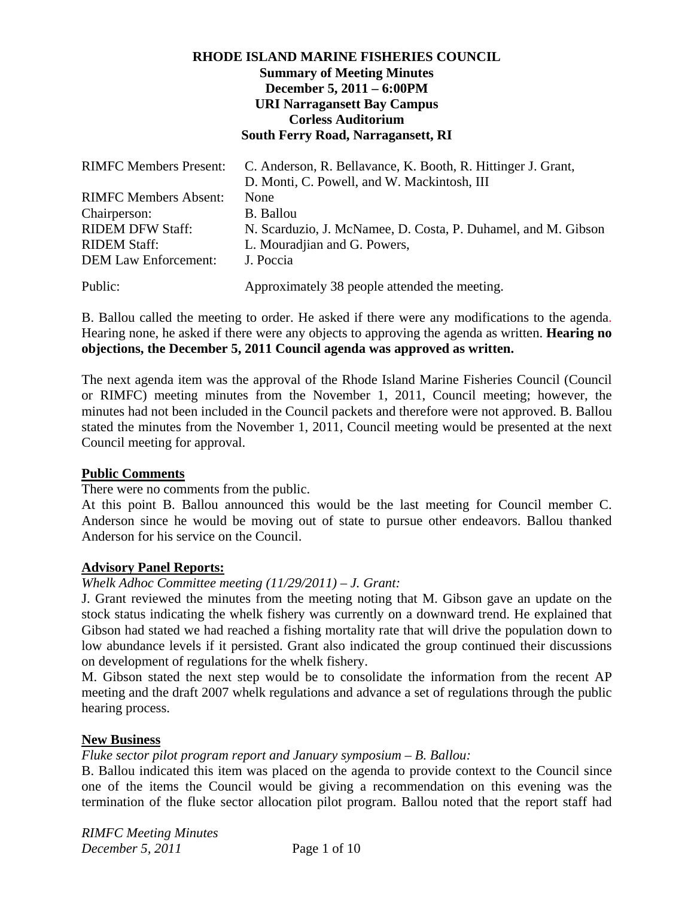## **RHODE ISLAND MARINE FISHERIES COUNCIL Summary of Meeting Minutes December 5, 2011 – 6:00PM URI Narragansett Bay Campus Corless Auditorium South Ferry Road, Narragansett, RI**

| <b>RIMFC Members Present:</b> | C. Anderson, R. Bellavance, K. Booth, R. Hittinger J. Grant,  |
|-------------------------------|---------------------------------------------------------------|
|                               | D. Monti, C. Powell, and W. Mackintosh, III                   |
| <b>RIMFC Members Absent:</b>  | None                                                          |
| Chairperson:                  | B. Ballou                                                     |
| <b>RIDEM DFW Staff:</b>       | N. Scarduzio, J. McNamee, D. Costa, P. Duhamel, and M. Gibson |
| <b>RIDEM Staff:</b>           | L. Mouradjian and G. Powers,                                  |
| <b>DEM Law Enforcement:</b>   | J. Poccia                                                     |
| Public:                       | Approximately 38 people attended the meeting.                 |

B. Ballou called the meeting to order. He asked if there were any modifications to the agenda. Hearing none, he asked if there were any objects to approving the agenda as written. **Hearing no objections, the December 5, 2011 Council agenda was approved as written.**

The next agenda item was the approval of the Rhode Island Marine Fisheries Council (Council or RIMFC) meeting minutes from the November 1, 2011, Council meeting; however, the minutes had not been included in the Council packets and therefore were not approved. B. Ballou stated the minutes from the November 1, 2011, Council meeting would be presented at the next Council meeting for approval.

#### **Public Comments**

There were no comments from the public.

At this point B. Ballou announced this would be the last meeting for Council member C. Anderson since he would be moving out of state to pursue other endeavors. Ballou thanked Anderson for his service on the Council.

#### **Advisory Panel Reports:**

## *Whelk Adhoc Committee meeting (11/29/2011) – J. Grant:*

J. Grant reviewed the minutes from the meeting noting that M. Gibson gave an update on the stock status indicating the whelk fishery was currently on a downward trend. He explained that Gibson had stated we had reached a fishing mortality rate that will drive the population down to low abundance levels if it persisted. Grant also indicated the group continued their discussions on development of regulations for the whelk fishery.

M. Gibson stated the next step would be to consolidate the information from the recent AP meeting and the draft 2007 whelk regulations and advance a set of regulations through the public hearing process.

#### **New Business**

#### *Fluke sector pilot program report and January symposium – B. Ballou:*

B. Ballou indicated this item was placed on the agenda to provide context to the Council since one of the items the Council would be giving a recommendation on this evening was the termination of the fluke sector allocation pilot program. Ballou noted that the report staff had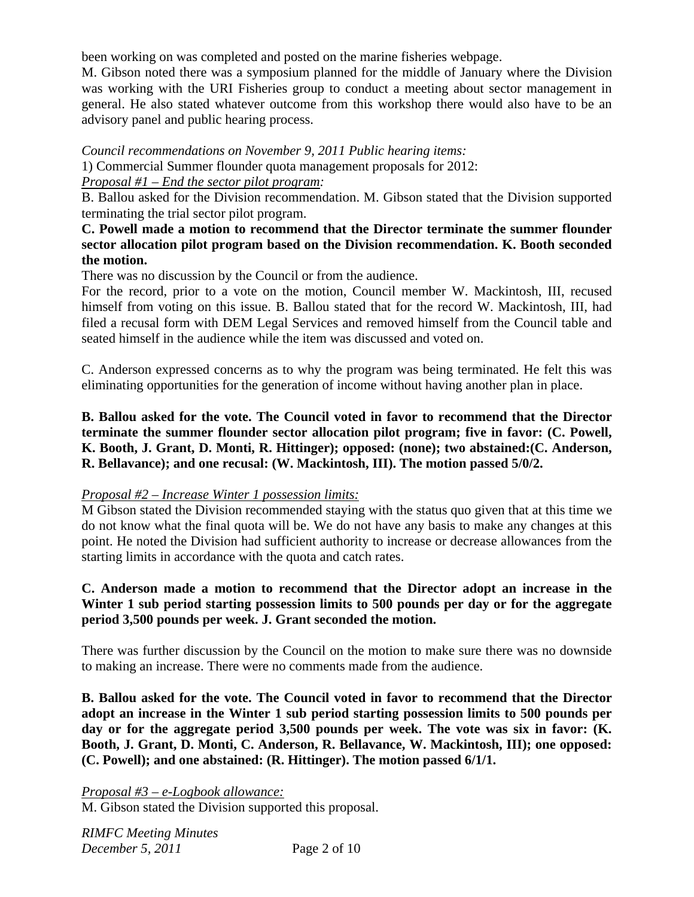been working on was completed and posted on the marine fisheries webpage.

M. Gibson noted there was a symposium planned for the middle of January where the Division was working with the URI Fisheries group to conduct a meeting about sector management in general. He also stated whatever outcome from this workshop there would also have to be an advisory panel and public hearing process.

*Council recommendations on November 9, 2011 Public hearing items:* 

1) Commercial Summer flounder quota management proposals for 2012:

## *Proposal #1 – End the sector pilot program:*

B. Ballou asked for the Division recommendation. M. Gibson stated that the Division supported terminating the trial sector pilot program.

## **C. Powell made a motion to recommend that the Director terminate the summer flounder sector allocation pilot program based on the Division recommendation. K. Booth seconded the motion.**

There was no discussion by the Council or from the audience.

For the record, prior to a vote on the motion, Council member W. Mackintosh, III, recused himself from voting on this issue. B. Ballou stated that for the record W. Mackintosh, III, had filed a recusal form with DEM Legal Services and removed himself from the Council table and seated himself in the audience while the item was discussed and voted on.

C. Anderson expressed concerns as to why the program was being terminated. He felt this was eliminating opportunities for the generation of income without having another plan in place.

**B. Ballou asked for the vote. The Council voted in favor to recommend that the Director terminate the summer flounder sector allocation pilot program; five in favor: (C. Powell, K. Booth, J. Grant, D. Monti, R. Hittinger); opposed: (none); two abstained:(C. Anderson, R. Bellavance); and one recusal: (W. Mackintosh, III). The motion passed 5/0/2.** 

## *Proposal #2 – Increase Winter 1 possession limits:*

M Gibson stated the Division recommended staying with the status quo given that at this time we do not know what the final quota will be. We do not have any basis to make any changes at this point. He noted the Division had sufficient authority to increase or decrease allowances from the starting limits in accordance with the quota and catch rates.

## **C. Anderson made a motion to recommend that the Director adopt an increase in the Winter 1 sub period starting possession limits to 500 pounds per day or for the aggregate period 3,500 pounds per week. J. Grant seconded the motion.**

There was further discussion by the Council on the motion to make sure there was no downside to making an increase. There were no comments made from the audience.

**B. Ballou asked for the vote. The Council voted in favor to recommend that the Director adopt an increase in the Winter 1 sub period starting possession limits to 500 pounds per day or for the aggregate period 3,500 pounds per week. The vote was six in favor: (K. Booth, J. Grant, D. Monti, C. Anderson, R. Bellavance, W. Mackintosh, III); one opposed: (C. Powell); and one abstained: (R. Hittinger). The motion passed 6/1/1.** 

*Proposal #3 – e-Logbook allowance:*

M. Gibson stated the Division supported this proposal.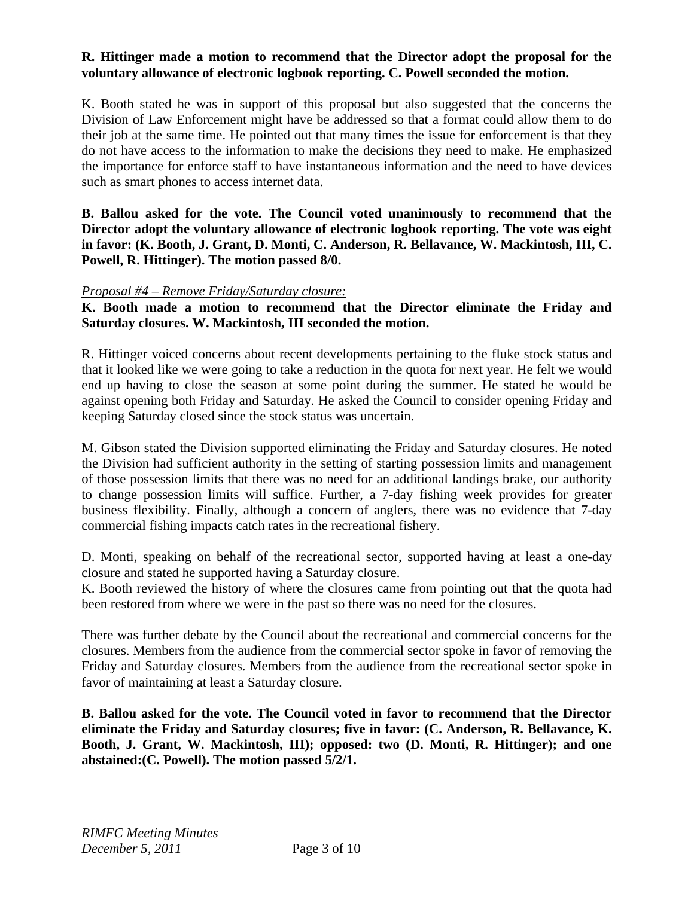## **R. Hittinger made a motion to recommend that the Director adopt the proposal for the voluntary allowance of electronic logbook reporting. C. Powell seconded the motion.**

K. Booth stated he was in support of this proposal but also suggested that the concerns the Division of Law Enforcement might have be addressed so that a format could allow them to do their job at the same time. He pointed out that many times the issue for enforcement is that they do not have access to the information to make the decisions they need to make. He emphasized the importance for enforce staff to have instantaneous information and the need to have devices such as smart phones to access internet data.

**B. Ballou asked for the vote. The Council voted unanimously to recommend that the Director adopt the voluntary allowance of electronic logbook reporting. The vote was eight in favor: (K. Booth, J. Grant, D. Monti, C. Anderson, R. Bellavance, W. Mackintosh, III, C. Powell, R. Hittinger). The motion passed 8/0.** 

#### *Proposal #4 – Remove Friday/Saturday closure:*

**K. Booth made a motion to recommend that the Director eliminate the Friday and Saturday closures. W. Mackintosh, III seconded the motion.** 

R. Hittinger voiced concerns about recent developments pertaining to the fluke stock status and that it looked like we were going to take a reduction in the quota for next year. He felt we would end up having to close the season at some point during the summer. He stated he would be against opening both Friday and Saturday. He asked the Council to consider opening Friday and keeping Saturday closed since the stock status was uncertain.

M. Gibson stated the Division supported eliminating the Friday and Saturday closures. He noted the Division had sufficient authority in the setting of starting possession limits and management of those possession limits that there was no need for an additional landings brake, our authority to change possession limits will suffice. Further, a 7-day fishing week provides for greater business flexibility. Finally, although a concern of anglers, there was no evidence that 7-day commercial fishing impacts catch rates in the recreational fishery.

D. Monti, speaking on behalf of the recreational sector, supported having at least a one-day closure and stated he supported having a Saturday closure.

K. Booth reviewed the history of where the closures came from pointing out that the quota had been restored from where we were in the past so there was no need for the closures.

There was further debate by the Council about the recreational and commercial concerns for the closures. Members from the audience from the commercial sector spoke in favor of removing the Friday and Saturday closures. Members from the audience from the recreational sector spoke in favor of maintaining at least a Saturday closure.

**B. Ballou asked for the vote. The Council voted in favor to recommend that the Director eliminate the Friday and Saturday closures; five in favor: (C. Anderson, R. Bellavance, K. Booth, J. Grant, W. Mackintosh, III); opposed: two (D. Monti, R. Hittinger); and one abstained:(C. Powell). The motion passed 5/2/1.**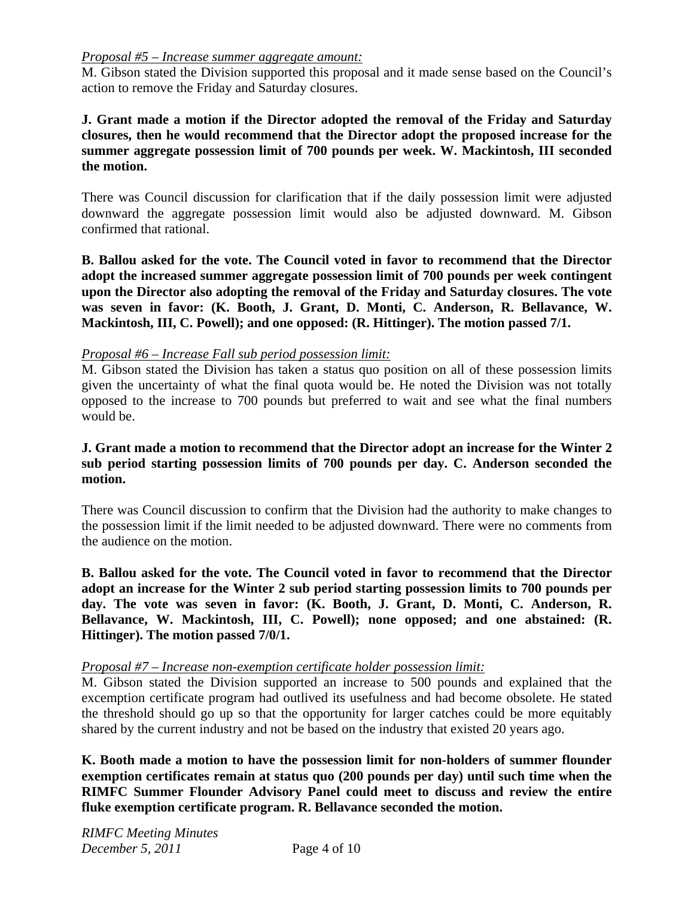#### *Proposal #5 – Increase summer aggregate amount:*

M. Gibson stated the Division supported this proposal and it made sense based on the Council's action to remove the Friday and Saturday closures.

## **J. Grant made a motion if the Director adopted the removal of the Friday and Saturday closures, then he would recommend that the Director adopt the proposed increase for the summer aggregate possession limit of 700 pounds per week. W. Mackintosh, III seconded the motion.**

There was Council discussion for clarification that if the daily possession limit were adjusted downward the aggregate possession limit would also be adjusted downward. M. Gibson confirmed that rational.

**B. Ballou asked for the vote. The Council voted in favor to recommend that the Director adopt the increased summer aggregate possession limit of 700 pounds per week contingent upon the Director also adopting the removal of the Friday and Saturday closures. The vote was seven in favor: (K. Booth, J. Grant, D. Monti, C. Anderson, R. Bellavance, W. Mackintosh, III, C. Powell); and one opposed: (R. Hittinger). The motion passed 7/1.** 

## *Proposal #6 – Increase Fall sub period possession limit:*

M. Gibson stated the Division has taken a status quo position on all of these possession limits given the uncertainty of what the final quota would be. He noted the Division was not totally opposed to the increase to 700 pounds but preferred to wait and see what the final numbers would be.

### **J. Grant made a motion to recommend that the Director adopt an increase for the Winter 2 sub period starting possession limits of 700 pounds per day. C. Anderson seconded the motion.**

There was Council discussion to confirm that the Division had the authority to make changes to the possession limit if the limit needed to be adjusted downward. There were no comments from the audience on the motion.

**B. Ballou asked for the vote. The Council voted in favor to recommend that the Director adopt an increase for the Winter 2 sub period starting possession limits to 700 pounds per day. The vote was seven in favor: (K. Booth, J. Grant, D. Monti, C. Anderson, R. Bellavance, W. Mackintosh, III, C. Powell); none opposed; and one abstained: (R. Hittinger). The motion passed 7/0/1.** 

#### *Proposal #7 – Increase non-exemption certificate holder possession limit:*

M. Gibson stated the Division supported an increase to 500 pounds and explained that the excemption certificate program had outlived its usefulness and had become obsolete. He stated the threshold should go up so that the opportunity for larger catches could be more equitably shared by the current industry and not be based on the industry that existed 20 years ago.

**K. Booth made a motion to have the possession limit for non-holders of summer flounder exemption certificates remain at status quo (200 pounds per day) until such time when the RIMFC Summer Flounder Advisory Panel could meet to discuss and review the entire fluke exemption certificate program. R. Bellavance seconded the motion.**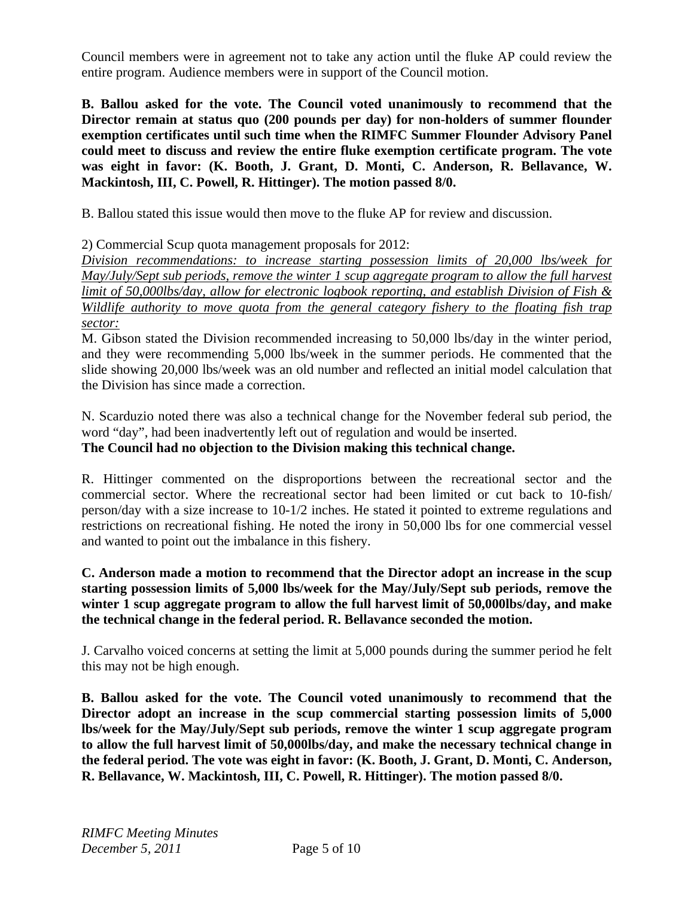Council members were in agreement not to take any action until the fluke AP could review the entire program. Audience members were in support of the Council motion.

**B. Ballou asked for the vote. The Council voted unanimously to recommend that the Director remain at status quo (200 pounds per day) for non-holders of summer flounder exemption certificates until such time when the RIMFC Summer Flounder Advisory Panel could meet to discuss and review the entire fluke exemption certificate program. The vote was eight in favor: (K. Booth, J. Grant, D. Monti, C. Anderson, R. Bellavance, W. Mackintosh, III, C. Powell, R. Hittinger). The motion passed 8/0.** 

B. Ballou stated this issue would then move to the fluke AP for review and discussion.

2) Commercial Scup quota management proposals for 2012:

*Division recommendations: to increase starting possession limits of 20,000 lbs/week for May/July/Sept sub periods, remove the winter 1 scup aggregate program to allow the full harvest limit of 50,000lbs/day, allow for electronic logbook reporting, and establish Division of Fish & Wildlife authority to move quota from the general category fishery to the floating fish trap sector:*

M. Gibson stated the Division recommended increasing to 50,000 lbs/day in the winter period, and they were recommending 5,000 lbs/week in the summer periods. He commented that the slide showing 20,000 lbs/week was an old number and reflected an initial model calculation that the Division has since made a correction.

N. Scarduzio noted there was also a technical change for the November federal sub period, the word "day", had been inadvertently left out of regulation and would be inserted. **The Council had no objection to the Division making this technical change.** 

R. Hittinger commented on the disproportions between the recreational sector and the commercial sector. Where the recreational sector had been limited or cut back to 10-fish/ person/day with a size increase to 10-1/2 inches. He stated it pointed to extreme regulations and restrictions on recreational fishing. He noted the irony in 50,000 lbs for one commercial vessel and wanted to point out the imbalance in this fishery.

## **C. Anderson made a motion to recommend that the Director adopt an increase in the scup starting possession limits of 5,000 lbs/week for the May/July/Sept sub periods, remove the winter 1 scup aggregate program to allow the full harvest limit of 50,000lbs/day, and make the technical change in the federal period. R. Bellavance seconded the motion.**

J. Carvalho voiced concerns at setting the limit at 5,000 pounds during the summer period he felt this may not be high enough.

**B. Ballou asked for the vote. The Council voted unanimously to recommend that the Director adopt an increase in the scup commercial starting possession limits of 5,000 lbs/week for the May/July/Sept sub periods, remove the winter 1 scup aggregate program to allow the full harvest limit of 50,000lbs/day, and make the necessary technical change in the federal period. The vote was eight in favor: (K. Booth, J. Grant, D. Monti, C. Anderson, R. Bellavance, W. Mackintosh, III, C. Powell, R. Hittinger). The motion passed 8/0.**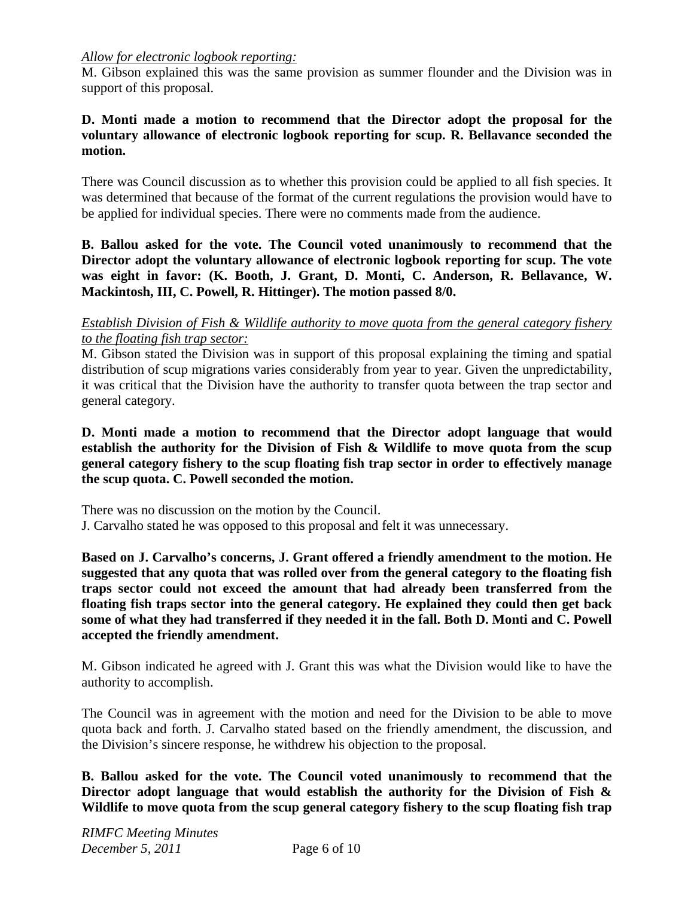### *Allow for electronic logbook reporting:*

M. Gibson explained this was the same provision as summer flounder and the Division was in support of this proposal.

## **D. Monti made a motion to recommend that the Director adopt the proposal for the voluntary allowance of electronic logbook reporting for scup. R. Bellavance seconded the motion.**

There was Council discussion as to whether this provision could be applied to all fish species. It was determined that because of the format of the current regulations the provision would have to be applied for individual species. There were no comments made from the audience.

**B. Ballou asked for the vote. The Council voted unanimously to recommend that the Director adopt the voluntary allowance of electronic logbook reporting for scup. The vote was eight in favor: (K. Booth, J. Grant, D. Monti, C. Anderson, R. Bellavance, W. Mackintosh, III, C. Powell, R. Hittinger). The motion passed 8/0.** 

### *Establish Division of Fish & Wildlife authority to move quota from the general category fishery to the floating fish trap sector:*

M. Gibson stated the Division was in support of this proposal explaining the timing and spatial distribution of scup migrations varies considerably from year to year. Given the unpredictability, it was critical that the Division have the authority to transfer quota between the trap sector and general category.

**D. Monti made a motion to recommend that the Director adopt language that would establish the authority for the Division of Fish & Wildlife to move quota from the scup general category fishery to the scup floating fish trap sector in order to effectively manage the scup quota. C. Powell seconded the motion.** 

There was no discussion on the motion by the Council.

J. Carvalho stated he was opposed to this proposal and felt it was unnecessary.

**Based on J. Carvalho's concerns, J. Grant offered a friendly amendment to the motion. He suggested that any quota that was rolled over from the general category to the floating fish traps sector could not exceed the amount that had already been transferred from the floating fish traps sector into the general category. He explained they could then get back some of what they had transferred if they needed it in the fall. Both D. Monti and C. Powell accepted the friendly amendment.** 

M. Gibson indicated he agreed with J. Grant this was what the Division would like to have the authority to accomplish.

The Council was in agreement with the motion and need for the Division to be able to move quota back and forth. J. Carvalho stated based on the friendly amendment, the discussion, and the Division's sincere response, he withdrew his objection to the proposal.

**B. Ballou asked for the vote. The Council voted unanimously to recommend that the Director adopt language that would establish the authority for the Division of Fish & Wildlife to move quota from the scup general category fishery to the scup floating fish trap**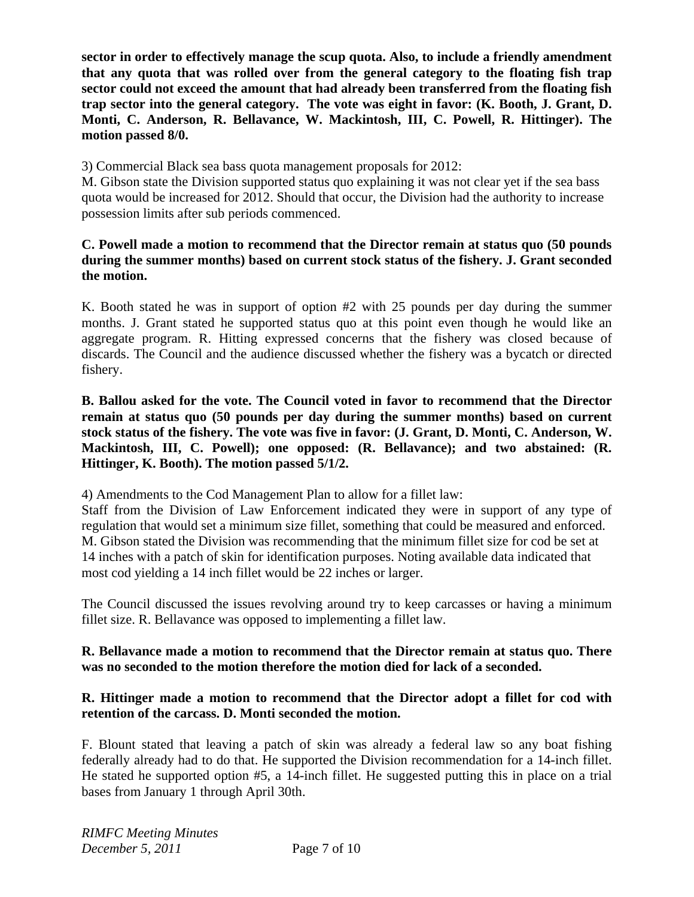**sector in order to effectively manage the scup quota. Also, to include a friendly amendment that any quota that was rolled over from the general category to the floating fish trap sector could not exceed the amount that had already been transferred from the floating fish trap sector into the general category. The vote was eight in favor: (K. Booth, J. Grant, D. Monti, C. Anderson, R. Bellavance, W. Mackintosh, III, C. Powell, R. Hittinger). The motion passed 8/0.** 

3) Commercial Black sea bass quota management proposals for 2012:

M. Gibson state the Division supported status quo explaining it was not clear yet if the sea bass quota would be increased for 2012. Should that occur, the Division had the authority to increase possession limits after sub periods commenced.

## **C. Powell made a motion to recommend that the Director remain at status quo (50 pounds during the summer months) based on current stock status of the fishery. J. Grant seconded the motion.**

K. Booth stated he was in support of option #2 with 25 pounds per day during the summer months. J. Grant stated he supported status quo at this point even though he would like an aggregate program. R. Hitting expressed concerns that the fishery was closed because of discards. The Council and the audience discussed whether the fishery was a bycatch or directed fishery.

**B. Ballou asked for the vote. The Council voted in favor to recommend that the Director remain at status quo (50 pounds per day during the summer months) based on current stock status of the fishery. The vote was five in favor: (J. Grant, D. Monti, C. Anderson, W. Mackintosh, III, C. Powell); one opposed: (R. Bellavance); and two abstained: (R. Hittinger, K. Booth). The motion passed 5/1/2.** 

4) Amendments to the Cod Management Plan to allow for a fillet law:

Staff from the Division of Law Enforcement indicated they were in support of any type of regulation that would set a minimum size fillet, something that could be measured and enforced. M. Gibson stated the Division was recommending that the minimum fillet size for cod be set at 14 inches with a patch of skin for identification purposes. Noting available data indicated that most cod yielding a 14 inch fillet would be 22 inches or larger.

The Council discussed the issues revolving around try to keep carcasses or having a minimum fillet size. R. Bellavance was opposed to implementing a fillet law.

## **R. Bellavance made a motion to recommend that the Director remain at status quo. There was no seconded to the motion therefore the motion died for lack of a seconded.**

## **R. Hittinger made a motion to recommend that the Director adopt a fillet for cod with retention of the carcass. D. Monti seconded the motion.**

F. Blount stated that leaving a patch of skin was already a federal law so any boat fishing federally already had to do that. He supported the Division recommendation for a 14-inch fillet. He stated he supported option #5, a 14-inch fillet. He suggested putting this in place on a trial bases from January 1 through April 30th.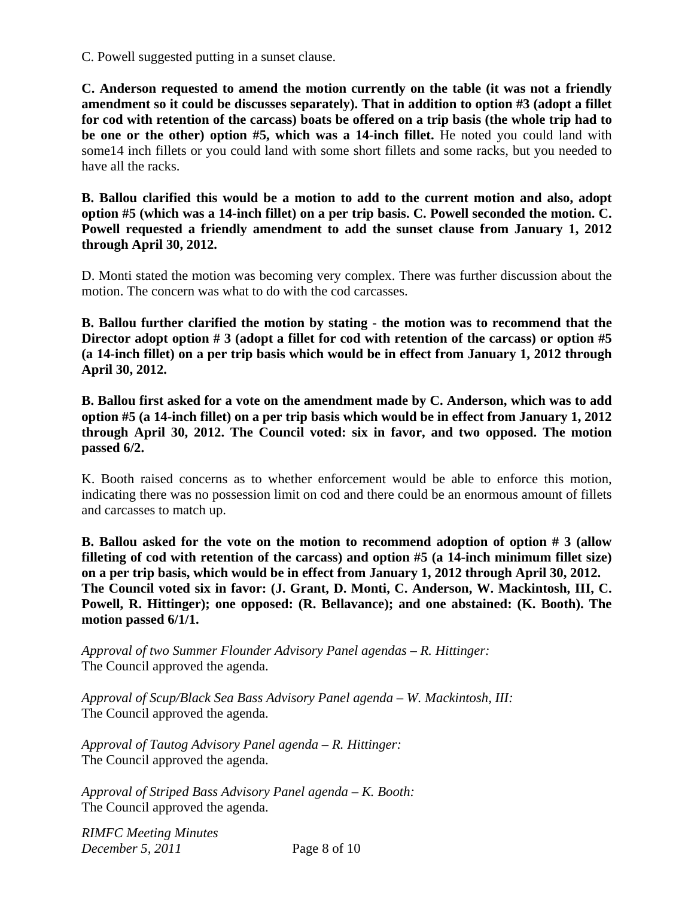C. Powell suggested putting in a sunset clause.

**C. Anderson requested to amend the motion currently on the table (it was not a friendly amendment so it could be discusses separately). That in addition to option #3 (adopt a fillet for cod with retention of the carcass) boats be offered on a trip basis (the whole trip had to be one or the other) option #5, which was a 14-inch fillet.** He noted you could land with some14 inch fillets or you could land with some short fillets and some racks, but you needed to have all the racks.

**B. Ballou clarified this would be a motion to add to the current motion and also, adopt option #5 (which was a 14-inch fillet) on a per trip basis. C. Powell seconded the motion. C. Powell requested a friendly amendment to add the sunset clause from January 1, 2012 through April 30, 2012.**

D. Monti stated the motion was becoming very complex. There was further discussion about the motion. The concern was what to do with the cod carcasses.

**B. Ballou further clarified the motion by stating - the motion was to recommend that the Director adopt option # 3 (adopt a fillet for cod with retention of the carcass) or option #5 (a 14-inch fillet) on a per trip basis which would be in effect from January 1, 2012 through April 30, 2012.**

**B. Ballou first asked for a vote on the amendment made by C. Anderson, which was to add option #5 (a 14-inch fillet) on a per trip basis which would be in effect from January 1, 2012 through April 30, 2012. The Council voted: six in favor, and two opposed. The motion passed 6/2.**

K. Booth raised concerns as to whether enforcement would be able to enforce this motion, indicating there was no possession limit on cod and there could be an enormous amount of fillets and carcasses to match up.

**B. Ballou asked for the vote on the motion to recommend adoption of option # 3 (allow filleting of cod with retention of the carcass) and option #5 (a 14-inch minimum fillet size) on a per trip basis, which would be in effect from January 1, 2012 through April 30, 2012. The Council voted six in favor: (J. Grant, D. Monti, C. Anderson, W. Mackintosh, III, C. Powell, R. Hittinger); one opposed: (R. Bellavance); and one abstained: (K. Booth). The motion passed 6/1/1.** 

*Approval of two Summer Flounder Advisory Panel agendas – R. Hittinger:*  The Council approved the agenda.

*Approval of Scup/Black Sea Bass Advisory Panel agenda – W. Mackintosh, III:*  The Council approved the agenda.

*Approval of Tautog Advisory Panel agenda – R. Hittinger:*  The Council approved the agenda.

*Approval of Striped Bass Advisory Panel agenda – K. Booth:*  The Council approved the agenda.

*RIMFC Meeting Minutes December 5, 2011* Page 8 of 10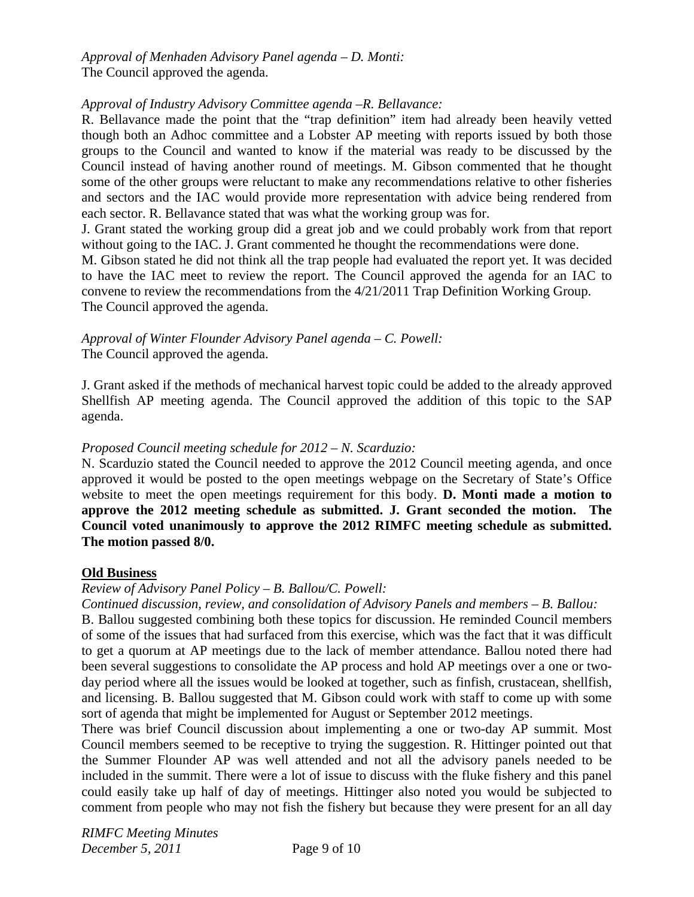*Approval of Menhaden Advisory Panel agenda – D. Monti:*  The Council approved the agenda.

### *Approval of Industry Advisory Committee agenda –R. Bellavance:*

R. Bellavance made the point that the "trap definition" item had already been heavily vetted though both an Adhoc committee and a Lobster AP meeting with reports issued by both those groups to the Council and wanted to know if the material was ready to be discussed by the Council instead of having another round of meetings. M. Gibson commented that he thought some of the other groups were reluctant to make any recommendations relative to other fisheries and sectors and the IAC would provide more representation with advice being rendered from each sector. R. Bellavance stated that was what the working group was for.

J. Grant stated the working group did a great job and we could probably work from that report without going to the IAC. J. Grant commented he thought the recommendations were done.

M. Gibson stated he did not think all the trap people had evaluated the report yet. It was decided to have the IAC meet to review the report. The Council approved the agenda for an IAC to convene to review the recommendations from the 4/21/2011 Trap Definition Working Group. The Council approved the agenda.

*Approval of Winter Flounder Advisory Panel agenda – C. Powell:*  The Council approved the agenda.

J. Grant asked if the methods of mechanical harvest topic could be added to the already approved Shellfish AP meeting agenda. The Council approved the addition of this topic to the SAP agenda.

#### *Proposed Council meeting schedule for 2012 – N. Scarduzio:*

N. Scarduzio stated the Council needed to approve the 2012 Council meeting agenda, and once approved it would be posted to the open meetings webpage on the Secretary of State's Office website to meet the open meetings requirement for this body. **D. Monti made a motion to approve the 2012 meeting schedule as submitted. J. Grant seconded the motion. The Council voted unanimously to approve the 2012 RIMFC meeting schedule as submitted. The motion passed 8/0.** 

#### **Old Business**

#### *Review of Advisory Panel Policy – B. Ballou/C. Powell:*

*Continued discussion, review, and consolidation of Advisory Panels and members – B. Ballou:*

B. Ballou suggested combining both these topics for discussion. He reminded Council members of some of the issues that had surfaced from this exercise, which was the fact that it was difficult to get a quorum at AP meetings due to the lack of member attendance. Ballou noted there had been several suggestions to consolidate the AP process and hold AP meetings over a one or twoday period where all the issues would be looked at together, such as finfish, crustacean, shellfish, and licensing. B. Ballou suggested that M. Gibson could work with staff to come up with some sort of agenda that might be implemented for August or September 2012 meetings.

There was brief Council discussion about implementing a one or two-day AP summit. Most Council members seemed to be receptive to trying the suggestion. R. Hittinger pointed out that the Summer Flounder AP was well attended and not all the advisory panels needed to be included in the summit. There were a lot of issue to discuss with the fluke fishery and this panel could easily take up half of day of meetings. Hittinger also noted you would be subjected to comment from people who may not fish the fishery but because they were present for an all day